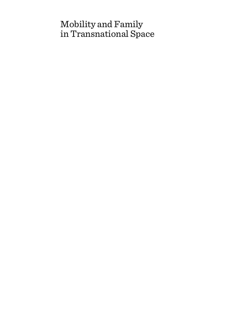# Mobility and Family in Transnational Space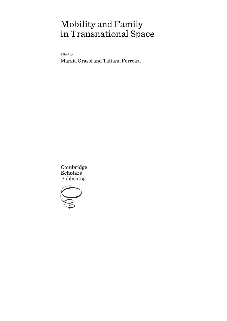# Mobility and Family in Transnational Space

Edited by

Marzia Grassi and Tatiana Ferreira

Cambridge **Scholars** Publishing

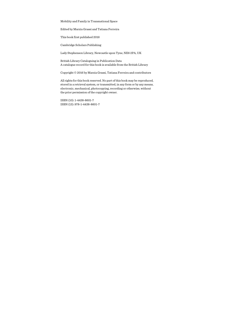Mobility and Family in Transnational Space

Edited by Marzia Grassi and Tatiana Ferreira

This book first published 2016

Cambridge Scholars Publishing

Lady Stephenson Library, Newcastle upon Tyne, NE6 2PA, UK

British Library Cataloguing in Publication Data A catalogue record for this book is available from the British Library

Copyright © 2016 by Marzia Grassi, Tatiana Ferreira and contributors

All rights for this book reserved. No part of this book may be reproduced, stored in a retrieval system, or transmitted, in any form or by any means, electronic, mechanical, photocopying, recording or otherwise, without the prior permission of the copyright owner.

ISBN (10): 1-4438-8601-7 ISBN (13): 978-1-4438-8601-7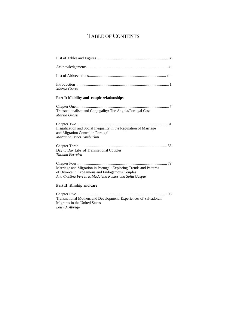## TABLE OF CONTENTS

| Marzia Grassi |  |
|---------------|--|

### **Part I: Mobility and couple relationships**

*Leisy J. Abrego* 

| Transnationalism and Conjugality: The Angola/Portugal Case<br>Marzia Grassi                                                                                                         |
|-------------------------------------------------------------------------------------------------------------------------------------------------------------------------------------|
| Illegalization and Social Inequality in the Regulation of Marriage<br>and Migration Control in Portugal<br>Marianna Bacci Tamburlini                                                |
| Day to Day Life of Transnational Couples<br>Tatiana Ferreira                                                                                                                        |
| 79<br>Marriage and Migration in Portugal: Exploring Trends and Patterns<br>of Divorce in Exogamous and Endogamous Couples<br>Ana Cristina Ferreira, Madalena Ramos and Sofia Gaspar |
| Part II: Kinship and care                                                                                                                                                           |
| Transnational Mothers and Development: Experiences of Salvadoran<br>Migrants in the United States                                                                                   |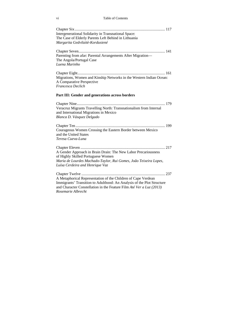vi Table of Contents

| <b>Intergenerational Solidarity in Transnational Space:</b><br>The Case of Elderly Parents Left Behind in Lithuania<br>Margarita Gedvilaitè-Kordusiené                                                                                |  |
|---------------------------------------------------------------------------------------------------------------------------------------------------------------------------------------------------------------------------------------|--|
| Parenting from afar: Parental Arrangements After Migration-<br>The Angola/Portugal Case<br>Luena Marinho                                                                                                                              |  |
| Migrations, Women and Kinship Networks in the Western Indian Ocean:<br>A Comparative Perspective<br>Francesca Declich                                                                                                                 |  |
| Part III: Gender and generations across borders                                                                                                                                                                                       |  |
| Veracruz Migrants Travelling North: Transnationalism from Internal<br>and International Migrations in Mexico<br>Blanca D. Vásquez Delgado                                                                                             |  |
| Courageous Women Crossing the Eastern Border between Mexico<br>and the United States<br>Teresa Cueva-Luna                                                                                                                             |  |
| A Gender Approach in Brain Drain: The New Labor Precariousness<br>of Highly Skilled Portuguese Women<br>Maria de Lourdes Machado-Taylor, Rui Gomes, João Teixeira Lopes,<br>Luísa Cerdeira and Henrique Vaz                           |  |
| A Metaphorical Representation of the Children of Cape Verdean<br>Immigrants' Transition to Adulthood: An Analysis of the Plot Structure<br>and Character Constellation in the Feature Film Até Ver a Luz (2013)<br>Rosemarie Albrecht |  |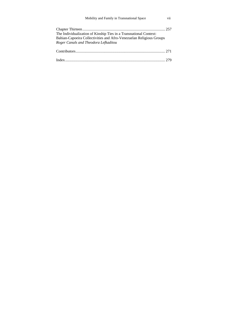| Mobility and Family in Transnational Space                                                                                                                                       | vii |
|----------------------------------------------------------------------------------------------------------------------------------------------------------------------------------|-----|
| The Individualization of Kinship Ties in a Transnational Context:<br>Bahian-Capoeira Collectivities and Afro-Venezuelan Religious Groups<br>Roger Canals and Theodora Lefkaditou |     |
|                                                                                                                                                                                  |     |
|                                                                                                                                                                                  |     |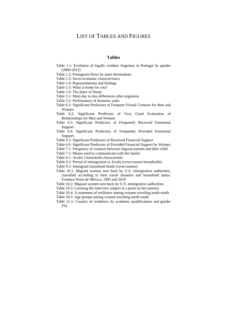## LIST OF TABLES AND FIGURES

#### **Tables**

- Table 1.1: Evolution of legally resident Angolans in Portugal by gender (2000-2012)
- Table 1.2: Portuguese flows by main destinations
- Table 1.3: Socio economic characteristics
- Table 1.4: Representations and feelings
- Table 1.5: What is home for you?
- Table 1.6: The place of Home
- Table 3.1: Main day to day differences after migration
- Table 3.2: Performance of domestic tasks
- Table 6.1: Significant Predictors of Frequent Virtual Contacts for Men and Women
- Table 6.2: Significant Predictors of Very Good Evaluation of Relationships for Men and Women
- Table 6.3: Significant Predictors of Frequently Received Emotional Support.
- Table 6.4: Significant Predictors of Frequently Provided Emotional Support.
- Table 6.5: Significant Predictors of Received Financial Support
- Table 6.6: Significant Predictors of Provided Financial Support by Women
- Table 7.1: Frequency of contacts between migrant parents and their child
- Table 7.2: Means used to communicate with the family
- Table 9.1: Acuña´s household characteristic
- Table 9.2: Period of immigration to Acuña (*veracruzano* households)
- Table 9.3: Immigrant household heads (*veracruzano*)
- Table 10.1: Migrant women sent back by U.S. immigration authorities, classified according to their travel situation and household status. Frontera Norte de México, 1995 and 2010
- Table 10.2: Migrant women sent back by U.S. immigration authorities.
- Table 10.3: Locating the interview subject at a point on her journey
- Table 10.4: A statement of resilience among women traveling north-south
- Table 10.5: Age groups among women traveling north-south
- Table 11.1: Country of residence, by academic qualifications and gender (%)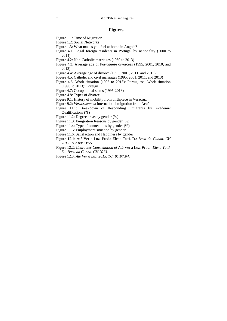## **Figures**

- Figure 1.1: Time of Migration
- Figure 1.2: Social Networks
- Figure 1.3: What makes you feel at home in Angola?
- Figure 4.1: Legal foreign residents in Portugal by nationality (2000 to 2014)
- Figure 4.2: Non-Catholic marriages (1960 to 2013)
- Figure 4.3: Average age of Portuguese divorcees (1995, 2001, 2010, and 2013)
- Figure 4.4: Average age of divorce (1995, 2001, 2011, and 2013)
- Figure 4.5: Catholic and civil marriages (1995, 2001, 2011, and 2013)
- Figure 4.6: Work situation (1995 to 2013): Portuguese; Work situation (1995 to 2013): Foreign
- Figure 4.7: Occupational status (1995-2013)
- Figure 4.8: Types of divorce
- Figure 9.1: History of mobility from birthplace in Veracruz
- Figure 9.2: *Veracruzanos*: international migration from Acuña
- Figure 11.1: Breakdown of Responding Emigrants by Academic Qualifications (%)
- Figure 11.2: Degree areas by gender (%)
- Figure 11.3: Emigration Reasons by gender (%)
- Figure 11.4: Type of connections by gender (%)
- Figure 11.5: Employment situation by gender
- Figure 11.6: Satisfaction and Happiness by gender
- Figure 12.1: Até Ver a Luz*.* Prod.: Elena Tatti. D.: *Basil da Cunha. CH 2013. TC: 00:13:55*
- Figure 12.2: *Character Constellation of* Até Ver a Luz*. Prod.: Elena Tatti. D.: Basil da Cunha. CH 2013.*
- Figure 12.3: *Até Ver a Luz. 2013. TC: 01:07:04.*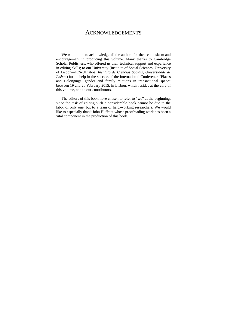## ACKNOWLEDGEMENTS

We would like to acknowledge all the authors for their enthusiasm and encouragement in producing this volume. Many thanks to Cambridge Scholar Publishers, who offered us their technical support and experience in editing skills; to our University (Institute of Social Sciences, University of Lisbon—ICS-ULisboa, *Instituto de Ciências Sociais, Universidade de Lisboa*) for its help in the success of the International Conference "Places and Belongings: gender and family relations in transnational space" between 19 and 20 February 2015, in Lisbon, which resides at the core of this volume, and to our contributors.

The editors of this book have chosen to refer to "we" at the beginning, since the task of editing such a considerable book cannot be due to the labor of only one, but to a team of hard-working researchers. We would like to especially thank John Huffstot whose proofreading work has been a vital component in the production of this book.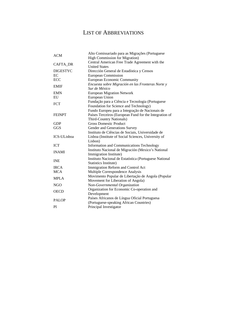## LIST OF ABBREVIATIONS

| Alto Comissariado para as Migrações (Portuguese                        |  |  |
|------------------------------------------------------------------------|--|--|
| <b>High Commission for Migration</b> )                                 |  |  |
| Central American Free Trade Agreement with the<br><b>United States</b> |  |  |
| Dirección General de Estadística y Censos                              |  |  |
| <b>European Commission</b>                                             |  |  |
| <b>European Economic Community</b>                                     |  |  |
| Encuesta sobre Migración en las Fronteras Norte y                      |  |  |
| Sur de México                                                          |  |  |
| <b>European Migration Network</b>                                      |  |  |
| European Union                                                         |  |  |
| Fundação para a Ciência e Tecnologia (Portuguese                       |  |  |
| Foundation for Science and Technology)                                 |  |  |
| Fundo Europeu para a Integração de Nacionais de                        |  |  |
| Países Terceiros (European Fund for the Integration of                 |  |  |
| <b>Third-Country Nationals)</b>                                        |  |  |
| <b>Gross Domestic Product</b>                                          |  |  |
| Gender and Generations Survey                                          |  |  |
| Instituto de Ciências de Sociais, Universidade de                      |  |  |
| Lisboa (Institute of Social Sciences, University of                    |  |  |
| Lisbon)                                                                |  |  |
| Information and Communications Technology                              |  |  |
| Instituto Nacional de Migración (Mexico's National                     |  |  |
| Immigration Institute)                                                 |  |  |
| Instituto Nacional de Estatística (Portuguese National                 |  |  |
| Statistics Institute)                                                  |  |  |
| Immigration Reform and Control Act                                     |  |  |
| Multiple Correspondence Analysis                                       |  |  |
| Movimento Popular de Libertação de Angola (Popular                     |  |  |
| Movement for Liberation of Angola)                                     |  |  |
| Non-Governmental Organization                                          |  |  |
| Organization for Economic Co-operation and                             |  |  |
| Development                                                            |  |  |
| Países Africanos de Língua Oficial Portuguesa                          |  |  |
| (Portuguese-speaking African Countries)                                |  |  |
| Principal Investigator                                                 |  |  |
|                                                                        |  |  |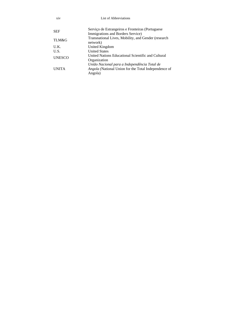| xiv           | List of Abbreviations                                                                                                  |
|---------------|------------------------------------------------------------------------------------------------------------------------|
| <b>SEF</b>    | Serviço de Estrangeiros e Fronteiras (Portuguese)<br>Immigrations and Borders Service)                                 |
| TLM&G         | Transnational Lives, Mobility, and Gender (research)<br>network)                                                       |
| U.K.          | United Kingdom                                                                                                         |
| U.S.          | <b>United States</b>                                                                                                   |
| <b>UNESCO</b> | United Nations Educational Scientific and Cultural<br>Organization                                                     |
| <b>UNITA</b>  | União Nacional para a Independência Total de<br><i>Angola</i> (National Union for the Total Independence of<br>Angola) |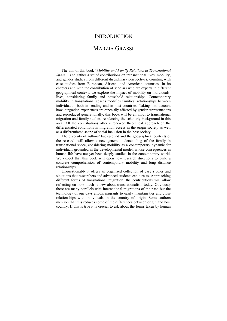## **INTRODUCTION**

## MARZIA GRASSI

The aim of this book "*Mobility and Family Relations in Transnational Space"* is to gather a set of contributions on transnational lives, mobility, and gender studies from different disciplinary perspectives, counting with case studies from European, African, and American countries. In its chapters and with the contribution of scholars who are experts in different geographical contexts we explore the impact of mobility on individuals' lives, considering family and household relationships. Contemporary mobility in transnational spaces modifies families' relationships between individuals—both in sending and in host countries. Taking into account how integration experiences are especially affected by gender representations and reproduced generationally, this book will be an input to transnational migration and family studies, reinforcing the scholarly background in this area. All the contributions offer a renewed theoretical approach on the differentiated conditions in migration access in the origin society as well as a differentiated scope of social inclusion in the host society.

The diversity of authors' background and the geographical contexts of the research will allow a new general understanding of the family in transnational space, considering mobility as a contemporary dynamic for individuals grounded in the developmental model, whose consequences in human life have not yet been deeply studied in the contemporary world. We expect that this book will open new research directions to build a concrete comprehension of contemporary mobility and long distance relationships.

Unquestionably it offers an organized collection of case studies and situations that researchers and advanced students can turn to. Approaching different forms of transnational migration, the contributions will allow reflecting on how much is new about transnationalism today. Obviously there are many parallels with international migrations of the past, but the technology of our days allows migrants to easily maintain ties and close relationships with individuals in the country of origin. Some authors mention that this reduces some of the differences between origin and host country. If this is true it is crucial to ask about the forms taken by human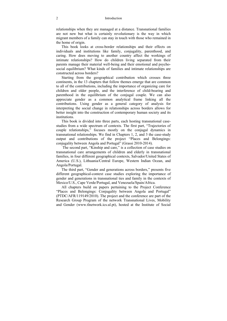relationships when they are managed at a distance. Transnational families are not new but what is certainly revolutionary is the way in which migrant members of a family can stay in touch with those who remained in the home of origin.

This book looks at cross-border relationships and their effects on individuals and institutions like family, conjugality, parenthood, and caring. How does moving to another country affect the workings of intimate relationships? How do children living separated from their parents manage their material well-being and their emotional and psychosocial equilibrium? What kinds of families and intimate relationships are constructed across borders?

Starting from the geographical contribution which crosses three continents, in the 13 chapters that follow themes emerge that are common to all of the contributions, including the importance of organizing care for children and older people, and the interference of child-bearing and parenthood in the equilibrium of the conjugal couple. We can also appreciate gender as a common analytical frame linking all the contributions. Using gender as a general category of analysis for interpreting the social change in relationships across borders allows for better insight into the construction of contemporary human society and its institutions.

This book is divided into three parts, each hosting transnational casestudies from a wide spectrum of contexts. The first part, "Trajectories of couple relationships," focuses mostly on the conjugal dynamics in transnational relationships. We find in Chapters 1, 2, and 3 the case-study output and contributions of the project "Places and Belongings: conjugality between Angola and Portugal" (Grassi 2010-2014).

 The second part, "Kinship and care," is a collection of case studies on transnational care arrangements of children and elderly in transnational families, in four different geographical contexts, Salvador/United States of America (U.S.), Lithuania/Central Europe, Western Indian Ocean, and Angola/Portugal.

The third part, "Gender and generations across borders," presents five different geographical-context case studies exploring the importance of gender and generations in transnational ties and family in the contexts of Mexico/U.S., Cape Verde/Portugal, and Venezuela/Spain/Africa.

All chapters build on papers pertaining to the Project Conference "Places and Belongings: Conjugality between Angola and Portugal" (PTDC/AFR/119149/2010). The project and the conference are part of the Research Group Program of the network Transnational Lives, Mobility and Gender (www.tlnetwork.ics.ul.pt), hosted at the Institute of Social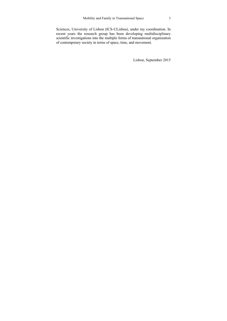Sciences, University of Lisbon (ICS-ULisboa), under my coordination. In recent years the research group has been developing multidisciplinary scientific investigations into the multiple forms of transnational organization of contemporary society in terms of space, time, and movement.

Lisbon, September 2015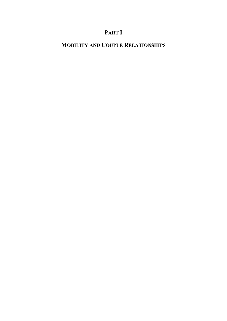## **PART I**

## **MOBILITY AND COUPLE RELATIONSHIPS**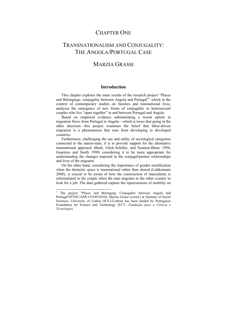## CHAPTER ONE

## TRANSNATIONALISM AND CONJUGALITY. THE ANGOLA/PORTUGAL CASE

## MARZIA GRASSI

#### **Introduction**

This chapter explores the main results of the research project "Places and Belongings: conjugality between Angola and Portugal"<sup>1</sup> which in the context of contemporary studies on families and transnational lives, analyzes the emergence of new forms of conjugality in heterosexual couples who live "apart together" in and between Portugal and Angola.

Based on empirical evidence substantiating a recent upturn in migration flows from Portugal to Angola—which is twice that going in the other direction—this project examines the belief that labor-driven migration is a phenomenon that runs from developing to developed countries.

Furthermore, challenging the use and utility of sociological categories connected to the nation-state, it is to provide support for the alternative transnational approach (Bash, Glick-Schiller, and Szanton-Blanc 1994; Guarnizo and Smith 1998) considering it to be more appropriate for understanding the changes imposed in the conjugal/partner relationships and lives of the migrants.

On the other hand, considering the importance of gender stratification when the domestic space is transnational rather than shared (Lubkemann 2008), is crucial to be aware of how the construction of masculinity is reformulated in the couple when the man migrates to the other country to look for a job. The data gathered capture the repercussions of mobility on

 $\overline{a}$ 

<sup>&</sup>lt;sup>1</sup> The project "Places and Belonging: Conjugality between Angola and Portugal"(PTDC/AFR/119149/2010), Marzia Grassi (coord.) at Institute of Social Sciences, University of Lisbon (ICS-ULisboa) has been funded by Portuguese Foundation for Science and Technology (FCT—*Fundação para a Ciência e Tecnologia*)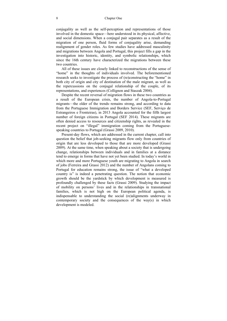#### 8 Chapter One

conjugality as well as the self-perception and representations of those involved in the domestic space—here understood in its physical, affective, and social dimensions. When a conjugal pair separates as a result of the migration of one person, fluid forms of conjugality arise, demanding realignment of gender roles. As few studies have addressed masculinity and migrations between Angola and Portugal, this project fills a gap in the investigation into historic, identity, and symbolic relationships, which since the 16th century have characterized the migrations between these two countries.

All of these issues are closely linked to reconstructions of the sense of "home" in the thoughts of individuals involved. The beforementioned research seeks to investigate the process of (re)constructing the "home" in both city of origin and city of destination of the male migrant, as well as the repercussions on the conjugal relationship of the couple, of its representations, and experiences (Collignon and Staszak 2004).

Despite the recent reversal of migration flows in these two countries as a result of the European crisis, the number of Angola-to-Portugal migrants—the older of the trends–remains strong, and according to data from the Portuguese Immigration and Borders Service (SEF, Serviço de Estrangeiros e Fronteiras), in 2013 Angola accounted for the fifth largest number of foreign citizens in Portugal (SEF 2014). These migrants are often denied access to resources and citizenship rights, as revealed in the recent project on "illegal" immigration coming from the Portuguesespeaking countries to Portugal (Grassi 2009, 2010).

Present-day flows, which are addressed in the current chapter, call into question the belief that job-seeking migrants flow only from countries of origin that are less developed to those that are more developed (Grassi 2009). At the same time, when speaking about a society that is undergoing change, relationships between individuals and in families at a distance tend to emerge in forms that have not yet been studied. In today's world in which more and more Portuguese youth are migrating to Angola in search of jobs (Ferreira and Grassi 2012) and the number of Angolans coming to Portugal for education remains strong, the issue of "what a developed country is" is indeed a penetrating question. The notion that economic growth should be the yardstick by which development is measured is profoundly challenged by these facts (Grassi 2009). Studying the impact of mobility on persons' lives and in the relationships in transnational families, which is not high on the European political agenda, is indispensable to understanding the social (re)alignments underway in contemporary society and the consequences of the way(s) in which development is modeled.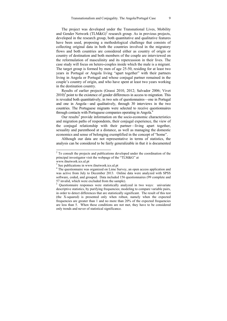The project was developed under the Transnational Lives, Mobility and Gender Network  $(TLM&G)^2$  research group. As in previous projects, developed in the research group, both quantitative and qualitative features have been used, proposing a methodological challenge that consists of collecting original data in both the countries involved in the migratory flows and both countries are considered either as country of origin or country of destination and both members of the couple are interviewed on the reformulation of masculinity and its repercussion in their lives. The case study will focus on hetero-couples inside which the male is a migrant. The target group is formed by men of age 25-50, residing for at least two years in Portugal or Angola living "apart together" with their partners living in Angola or Portugal and whose conjugal partner remained in the couple's country of origin, and who have spent at least two years working in the destination country.

Results of earlier projects (Grassi 2010, 2012; Salvador 2006; Vivet  $2010<sup>3</sup>$  point to the existence of gender differences in access to migration. This is revealed both quantitatively, in two sets of questionnaires—one in Portugal and one in Angola—and qualitatively, through 30 interviews in the two countries. The Portuguese migrants were selected to receive questionnaires through contacts with Portuguese companies operating in Angola.<sup>4</sup>

Our results<sup>5</sup> provide information on the socio-economic characteristics and migration paths of respondents, their conjugal experience, the view of the conjugal relationship with their partner—living apart together, sexuality and parenthood at a distance, as well as managing the domestic economics and sense of belonging exemplified in the concept of "home".

Although our data are not representative in terms of statistics, the analysis can be considered to be fairly generalizable in that it is documented

<sup>&</sup>lt;sup>2</sup> To consult the projects and publications developed under the coordination of the principal investigator visit the webpage of the "TLM&G" at

www.tlnetwork.ics.ul.pt

<sup>&</sup>lt;sup>3</sup> See publications in www.tlnetwork.ics.ul.pt  $4$ <sup>4</sup> The questionnaire was organized on I ime S

<sup>&</sup>lt;sup>4</sup> The questionnaire was organized on Lime Survey, an open access application and was active from July to December 2013. Online data were analyzed with SPSS software, coded, and grouped. Data included 156 questionnaires (99 complete and 57 invalid, which were excluded from the sample).

<sup>5</sup> Questionnaire responses were statistically analyzed in two ways: univariate descriptive statistics, by purifying frequencies; modeling to compare variable pairs, in order to detect differences that are statistically significant. The result of this test (the X-squared) is presented only when robust, namely when the expected frequencies are greater than 1 and no more than 20% of the expected frequencies are less than 5. When these conditions are not met, they have to be considered only trends and never of statistical significance.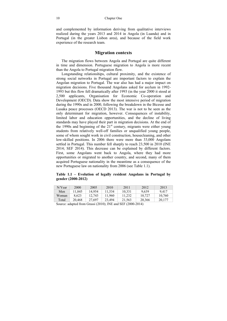and complemented by information deriving from qualitative interviews realized during the years 2013 and 2014 in Angola (in Luanda) and in Portugal (in the greater Lisbon area), and because of the field work experience of the research team.

## **Migration contexts**

The migration flows between Angola and Portugal are quite different in time and dimension. Portuguese migration to Angola is more recent than the Angola to Portugal migration flow.

Longstanding relationships, cultural proximity, and the existence of strong social networks in Portugal are important factors to explain the Angolan migration to Portugal. The war also has had a major impact on migration decisions. Five thousand Angolans asked for asylum in 1992- 1993 but this flow fell dramatically after 1993 (in the year 2000 it stood at 2,500 applicants, Organisation for Economic Co-operation and Development (OECD). Data show the most intensive period of migration during the 1990s and in 2000, following the breakdown in the Bicesse and Lusaka peace processes (OECD 2013). The war is not to be seen as the only determinant for migration, however. Consequences of instability, limited labor and education opportunities, and the decline of living standards may have played their part in migration decisions. At the end of the 1990s and beginning of the  $21<sup>st</sup>$  century, migrants were either young students from relatively well-off families or unqualified young people, some of whom sought work in civil construction, housecleaning, and other low-skilled positions. In 2006 there were more than 33,000 Angolans settled in Portugal. This number fell sharply to reach 23,500 in 2010 (INE 2014; SEF 2014). This decrease can be explained by different factors. First, some Angolans went back to Angola, where they had more opportunities or migrated to another country, and second, many of them acquired Portuguese nationality in the meantime as a consequence of the new Portuguese law on nationality from 2006 (see Table 1.1).

#### **Table 1.1 – Evolution of legally resident Angolans in Portugal by gender (2000-2012)**

| N/Year | 2000   | 2005   | 2010   | 2011   | 2012   | 2013   |
|--------|--------|--------|--------|--------|--------|--------|
| Men    | 11.845 | 14.954 | 11.534 | 10.331 | 9.639  | 9.417  |
| Woman  | 8.623  | 12.743 | 11.960 | 11.232 | 10.727 | 10.760 |
| Total  | 20.468 | 27.697 | 23.494 | 21,563 | 20,366 | 20,177 |
|        |        |        |        |        |        |        |

Source: adapted from Grassi (2010); INE and SEF (2000-2014)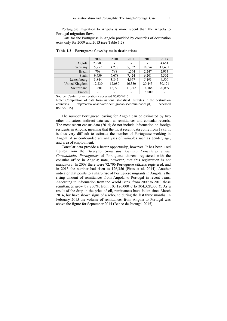Portuguese migration to Angola is more recent than the Angola to Portugal migration flow.

 Data for the Portuguese in Angola provided by countries of destination exist only for 2009 and 2013 (see Table 1.2)

| 2009   | 2010   | 2011                     | 2012   | 2013   |
|--------|--------|--------------------------|--------|--------|
| 23,787 |        | -                        |        | 4,651  |
| 5,752  | 4,238  | 5,752                    | 9,054  | 11,401 |
| 708    | 798    | 1,564                    | 2,247  | 2,913  |
| 9,739  | 7,678  | 7,424                    | 6,201  | 5,302  |
| 3,844  | 3,845  | 4,977                    | 5,193  | 4,509  |
| 12,230 | 12,080 | 16,350                   | 20,443 | 30,121 |
| 13,601 | 12,720 | 11,972                   | 14,388 | 20,039 |
| -      |        | $\overline{\phantom{a}}$ | 18,000 |        |
|        |        |                          |        |        |

#### **Table 1.2 – Portuguese flows by main destinations**

Source: Center for emigration - accessed 06/05/2015

Note: Compilation of data from national statistical institutes in the destination countries http://www.observatorioemigracao.secomunidades.pt, accessed 06/05/2015).

The number Portuguese leaving for Angola can be estimated by two other indicators: indirect data such as remittances and consular records. The most recent census data (2014) do not include information on foreign residents in Angola, meaning that the most recent data come from 1975. It is thus very difficult to estimate the number of Portuguese working in Angola. Also confounded are analyses of variables such as gender, age, and area of employment.

Consular data provide a better opportunity, however. It has been used figures from the *Direcção Geral dos Assuntos Consulares e das Comunidades Portuguesas* of Portuguese citizens registered with the consular office in Angola; note, however, that this registration is not mandatory. In 2008 there were 72,706 Portuguese citizens registered, and in 2013 the number had risen to 126,356 (Pires et al. 2014). Another indicator that points to a sharp rise of Portuguese migrants in Angola is the rising amount of remittances from Angola to Portugal in recent years. According to information from the World Bank, from 2009 to 2013 these remittances grew by 200%, from 103,126,000 € to 304,328,000 €. As a result of the drop in the price of oil, remittances have fallen since March 2014, but have shown signs of a rebound during the last three months. In February 2015 the volume of remittances from Angola to Portugal was above the figure for September 2014 (Banco de Portugal 2015).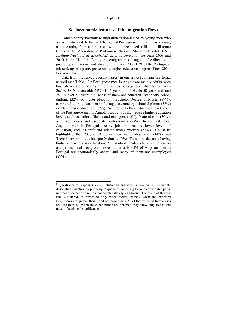#### **Socioeconomic features of the migration flows**

Contemporary Portuguese migration is dominated by young men who are well educated. In the past the typical Portuguese emigrant was a young adult, coming from a rural area, without specialized skills, and illiterate (Pires 2010). According to Portuguese National Statistics Institute (INE, *Instituto Nacional de Estatística*) data, however, for the years 2008 and 2010 the profile of the Portuguese emigrant has changed in the direction of greater qualifications, and already in the year 2000 13% of the Portuguese job-seeking emigrants possessed a higher-education degree (Pires 2010; Peixoto 2004).

Data from the survey questionnaires<sup>6</sup> in our project confirm this trend, as well (see Table 1.3): Portuguese men in Angola are mainly adults more than 36 years old, having a more or less homogeneous distribution, with 26.3% 36-40 years old; 21% 41-45 years old; 10% 46-50 years old; and 25.3% over 50 years old. Most of them are educated (secondary school diploma (32%) or higher education—Bachelor Degree, or Master (39%), compared to Angolan men in Portugal (secondary school diploma (56%) or Elementary education (29%). According to their education level, most of the Portuguese men in Angola occupy jobs that require higher education levels, such as senior officials and managers (12%), Professionals (30%), and Technicians and associate professionals (27%). In contrast, most Angolan men in Portugal occupy jobs that require lower levels of education, such as craft and related trades workers (58%). It must be highlighted that 23% of Angolan men are Professionals (14%) and Technicians and associate professionals (9%). These are the ones having higher and secondary education. A cross-table analysis between education and professional background reveals that only 65% of Angolan men in Portugal are economically active, and many of them are unemployed  $(29\%).$ 

 6 Questionnaire responses were statistically analyzed in two ways: univariate descriptive statistics, by purifying frequencies; modeling to compare variable pairs, in order to detect differences that are statistically significant. The result of this test (the X-squared) is presented only when robust, namely when the expected frequencies are greater than 1 and no more than 20% of the expected frequencies are less than 5. When these conditions are not met, they show only trends and never of statistical significance.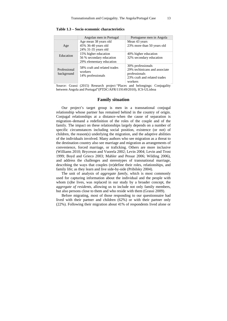|                            | Angolan men in Portugal                                                      | Portuguese men in Angola                                                                                       |
|----------------------------|------------------------------------------------------------------------------|----------------------------------------------------------------------------------------------------------------|
| Age                        | Age mean 38 years old<br>45% 36-40 years old<br>24% 31-35 years old          | Mean 43 years<br>23% more than 50 years old                                                                    |
| Education                  | 15% higher education<br>56 % secondary education<br>29% elementary education | 40% higher education<br>32% secondary education                                                                |
| Professional<br>background | 58% craft and related trades<br>workers<br>14% professionals                 | 30% professionals<br>29% techinicans and associate<br>professionals<br>23% craft and related trades<br>workers |

#### **Table 1.3 – Socio economic characteristics**

Source: Grassi (2015) Research project "Places and belongings: Conjugality between Angola and Portugal"(PTDC/AFR/119149/2010), ICS-ULisboa

## **Family situation**

Our project's target group is men in a transnational conjugal relationship whose partner has remained behind in the country of origin. Conjugal relationships at a distance–when the cause of separation is migration–demand a redefinition of the roles of the couple and of the family. The impact on these relationships largely depends on a number of specific circumstances including social position, existence (or not) of children, the reason(s) underlying the migration, and the adaptive abilities of the individuals involved. Many authors who see migration as a threat to the destination country also see marriage and migration as arrangements of convenience, forced marriage, or traficking. Others are more inclusive (Williams 2010; Bryceson and Vuorela 2002; Levin 2004; Levin and Trost 1999; Boyd and Grieco 2003; Mahler and Pessar 2006; Wilding 2006), and address the challenges and stereotypes of transnational marriage, describing the ways that couples (re)define their roles, relationships, and family life; as they learn and live side-by-side (Pribilsky 2004).

The unit of analysis of *aggregate family*, which is most commonly used for capturing information about the individual and the people with whom (s)he lives, was replaced in our study by a broader concept, the *aggregate of residents*, allowing us to include not only family members, but also persons close to them and who reside with them (Grassi 2009).

Before migrating, most of those responding to our questionnaire had lived with their partner and children (62%) or with their partner only (22%). Following their migration about 41% of respondents lived alone or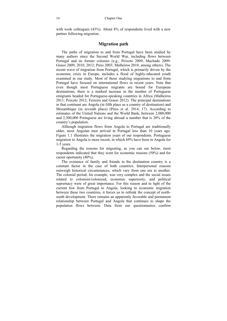with work colleagues (43%). About 8% of respondents lived with a new partner following migration.

## **Migration path**

The paths of migration to and from Portugal have been studied by many authors since the Second World War, including flows between Portugal and its former colonies (e.g., Peixoto 2009; Machado 2009: Grassi 2009, 2010, 2012; Pires 2003; Malheiros 2010, among others). The recent wave of migration from Portugal, which is primarily driven by the economic crisis in Europe, includes a flood of highly-educated youth examined in our study. Most of those studying migrations to and from Portugal have focused on international flows in recent years. Note that even though most Portuguese migrants are bound for European destinations, there is a marked increase in the number of Portuguese emigrants headed for Portuguese-speaking countries in Africa (Malheiros 2011; Peixoto 2012; Ferreira and Grassi 2012). The principal destinations in that continent are Angola (in fifth place as a country of destination) and Mozambique (in seventh place) (Pires et al. 2014, 17). According to estimates of the United Nations and the World Bank, between 2,000,000 and 2,300,000 Portuguese are living abroad–a number that is 20% of the country's population.

Although migration flows from Angola to Portugal are traditionally older, most Angolan men arrived in Portugal less than 10 years ago. Figure 1.1 illustrates the migration years of our respondents. Portuguese migration in Angola is more recent, in which 69% have been in Angola for 1-5 years.

Regarding the reasons for migrating, as you can see below, most respondents indicated that they went for economic reasons (50%) and for career oportunity (40%).

The existence of family and friends in the destination country is a constant factor in the case of both countries. Interpersonal reasons outweigh historical circumstances, which vary from one era to another. The colonial period, for example, was very complex and the social issues related to colonizer/colonized, economic superiority, and political supremacy were of great importance. For this reason and in light of the current fow from Portugal to Angola, looking to economic migration between these two countries, it forces us to rethink the concept of northsouth development. There remains an apparently favorable and permanent relationship between Portugal and Angola that continues to shape the population flows between. Data from our questionnaires confirm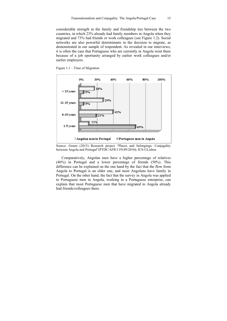considerable strength in the family and friendship ties between the two countries, in which 23% already had family members in Angola when they migrated and 73% had friends or work colleagues (see Figure 1.2). Social networks are also powerful determinants in the decision to migrate, as demonstrated in our sample of respondent. As revealed in our interviews, it is often the case that Portuguese who are currently in Angola went there because of a job oportunity arranged by earlier work colleagues and/or earlier empl oyers.



Figure 1.1 – T Time of Migrat ion

Comparatively, Angolan men have a higher percentage of relatives (46%) in P Portugal and a lower pe ercentage of friends (50% %). This difference can be explained on the one hand by the fact that the flow from Angola to Portugal is an older one, and most Angolans have family in Portugal. On the other hand, the fact that the survey in Angola was applied to Portuguese men in Angola, working in a Portuguese enterprise, can explain that most Portuguese men that have migrated to Angola already had friends/colleagues there.

Source: Grassi (2015) Research project "Places and belongings: Conjugality between Angola and Portugal"(PTDC/AFR/119149/2010), ICS-ULisboa